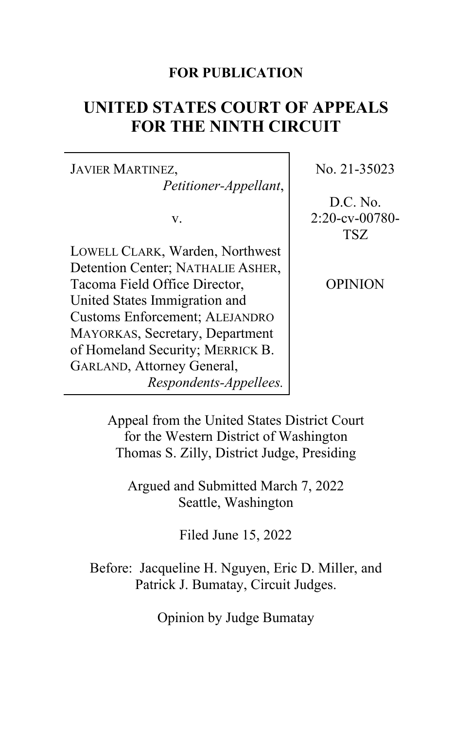## **FOR PUBLICATION**

# **UNITED STATES COURT OF APPEALS FOR THE NINTH CIRCUIT**

JAVIER MARTINEZ, *Petitioner-Appellant*,

v.

LOWELL CLARK, Warden, Northwest Detention Center; NATHALIE ASHER, Tacoma Field Office Director, United States Immigration and Customs Enforcement; ALEJANDRO MAYORKAS, Secretary, Department of Homeland Security; MERRICK B. GARLAND, Attorney General, *Respondents-Appellees.* No. 21-35023

D.C. No. 2:20-cv-00780- TSZ

OPINION

Appeal from the United States District Court for the Western District of Washington Thomas S. Zilly, District Judge, Presiding

Argued and Submitted March 7, 2022 Seattle, Washington

Filed June 15, 2022

Before: Jacqueline H. Nguyen, Eric D. Miller, and Patrick J. Bumatay, Circuit Judges.

Opinion by Judge Bumatay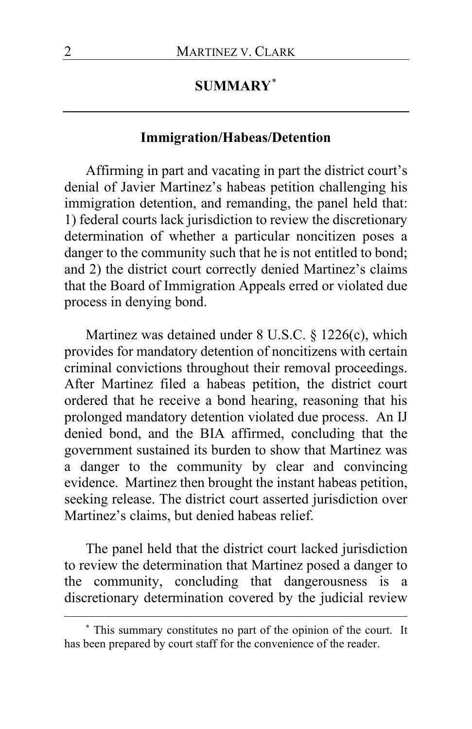## **SUMMARY**[\\*](#page-1-0)

## **Immigration/Habeas/Detention**

Affirming in part and vacating in part the district court's denial of Javier Martinez's habeas petition challenging his immigration detention, and remanding, the panel held that: 1) federal courts lack jurisdiction to review the discretionary determination of whether a particular noncitizen poses a danger to the community such that he is not entitled to bond; and 2) the district court correctly denied Martinez's claims that the Board of Immigration Appeals erred or violated due process in denying bond.

Martinez was detained under 8 U.S.C. § 1226(c), which provides for mandatory detention of noncitizens with certain criminal convictions throughout their removal proceedings. After Martinez filed a habeas petition, the district court ordered that he receive a bond hearing, reasoning that his prolonged mandatory detention violated due process. An IJ denied bond, and the BIA affirmed, concluding that the government sustained its burden to show that Martinez was a danger to the community by clear and convincing evidence. Martinez then brought the instant habeas petition, seeking release. The district court asserted jurisdiction over Martinez's claims, but denied habeas relief.

The panel held that the district court lacked jurisdiction to review the determination that Martinez posed a danger to the community, concluding that dangerousness is a discretionary determination covered by the judicial review

<span id="page-1-0"></span>**<sup>\*</sup>** This summary constitutes no part of the opinion of the court. It has been prepared by court staff for the convenience of the reader.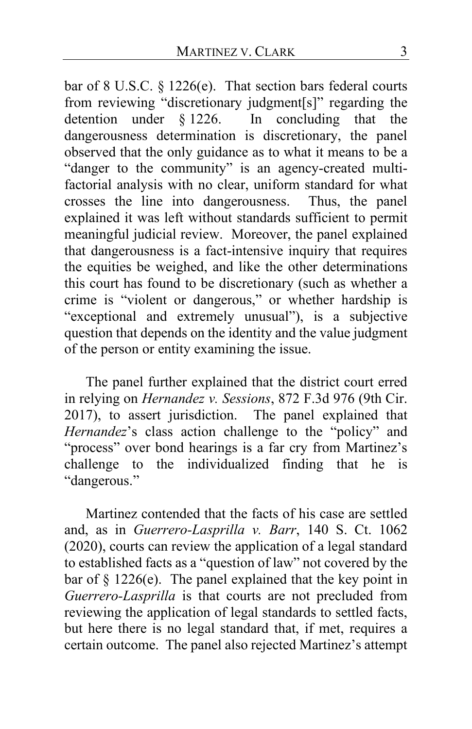bar of 8 U.S.C. § 1226(e). That section bars federal courts from reviewing "discretionary judgment[s]" regarding the detention under  $\S 1226$ . In concluding that the In concluding that the dangerousness determination is discretionary, the panel observed that the only guidance as to what it means to be a "danger to the community" is an agency-created multifactorial analysis with no clear, uniform standard for what crosses the line into dangerousness. Thus, the panel explained it was left without standards sufficient to permit meaningful judicial review. Moreover, the panel explained that dangerousness is a fact-intensive inquiry that requires the equities be weighed, and like the other determinations this court has found to be discretionary (such as whether a crime is "violent or dangerous," or whether hardship is "exceptional and extremely unusual"), is a subjective question that depends on the identity and the value judgment of the person or entity examining the issue.

The panel further explained that the district court erred in relying on *Hernandez v. Sessions*, 872 F.3d 976 (9th Cir. 2017), to assert jurisdiction. The panel explained that *Hernandez*'s class action challenge to the "policy" and "process" over bond hearings is a far cry from Martinez's challenge to the individualized finding that he is "dangerous."

Martinez contended that the facts of his case are settled and, as in *Guerrero-Lasprilla v. Barr*, 140 S. Ct. 1062 (2020), courts can review the application of a legal standard to established facts as a "question of law" not covered by the bar of § 1226(e). The panel explained that the key point in *Guerrero-Lasprilla* is that courts are not precluded from reviewing the application of legal standards to settled facts, but here there is no legal standard that, if met, requires a certain outcome. The panel also rejected Martinez's attempt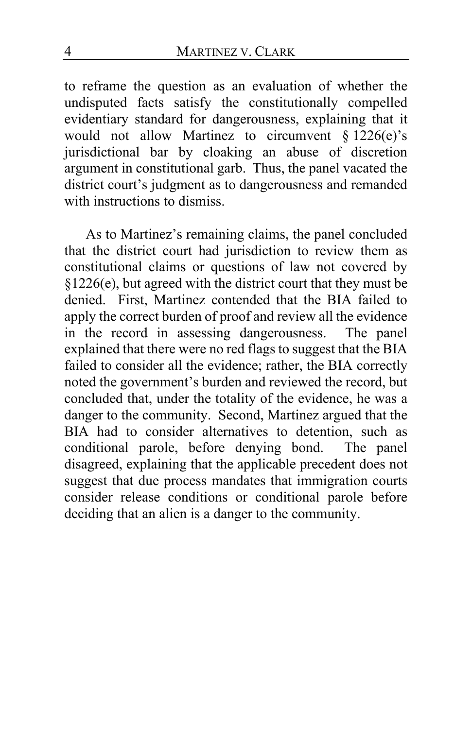to reframe the question as an evaluation of whether the undisputed facts satisfy the constitutionally compelled evidentiary standard for dangerousness, explaining that it would not allow Martinez to circumvent  $\S 1226(e)$ 's jurisdictional bar by cloaking an abuse of discretion argument in constitutional garb. Thus, the panel vacated the district court's judgment as to dangerousness and remanded with instructions to dismiss.

As to Martinez's remaining claims, the panel concluded that the district court had jurisdiction to review them as constitutional claims or questions of law not covered by §1226(e), but agreed with the district court that they must be denied. First, Martinez contended that the BIA failed to apply the correct burden of proof and review all the evidence in the record in assessing dangerousness. The panel explained that there were no red flags to suggest that the BIA failed to consider all the evidence; rather, the BIA correctly noted the government's burden and reviewed the record, but concluded that, under the totality of the evidence, he was a danger to the community. Second, Martinez argued that the BIA had to consider alternatives to detention, such as conditional parole, before denying bond. The panel disagreed, explaining that the applicable precedent does not suggest that due process mandates that immigration courts consider release conditions or conditional parole before deciding that an alien is a danger to the community.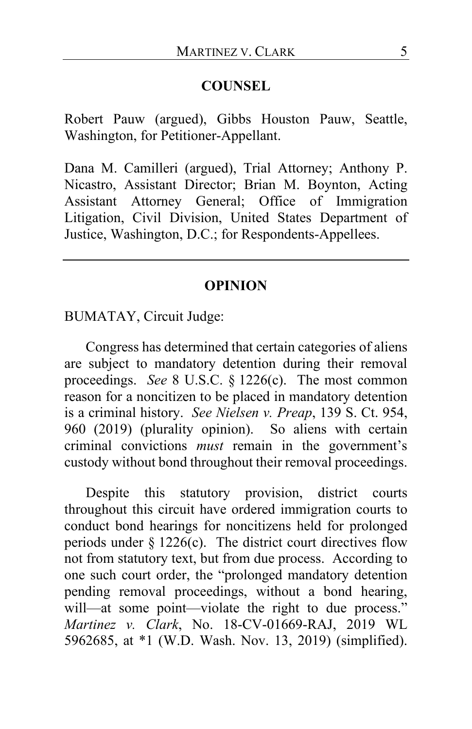### **COUNSEL**

Robert Pauw (argued), Gibbs Houston Pauw, Seattle, Washington, for Petitioner-Appellant.

Dana M. Camilleri (argued), Trial Attorney; Anthony P. Nicastro, Assistant Director; Brian M. Boynton, Acting Assistant Attorney General; Office of Immigration Litigation, Civil Division, United States Department of Justice, Washington, D.C.; for Respondents-Appellees.

#### **OPINION**

BUMATAY, Circuit Judge:

Congress has determined that certain categories of aliens are subject to mandatory detention during their removal proceedings. *See* 8 U.S.C. § 1226(c). The most common reason for a noncitizen to be placed in mandatory detention is a criminal history. *See Nielsen v. Preap*, 139 S. Ct. 954, 960 (2019) (plurality opinion). So aliens with certain criminal convictions *must* remain in the government's custody without bond throughout their removal proceedings.

Despite this statutory provision, district courts throughout this circuit have ordered immigration courts to conduct bond hearings for noncitizens held for prolonged periods under  $\S 1226(c)$ . The district court directives flow not from statutory text, but from due process. According to one such court order, the "prolonged mandatory detention pending removal proceedings, without a bond hearing, will—at some point—violate the right to due process." *Martinez v. Clark*, No. 18-CV-01669-RAJ, 2019 WL 5962685, at \*1 (W.D. Wash. Nov. 13, 2019) (simplified).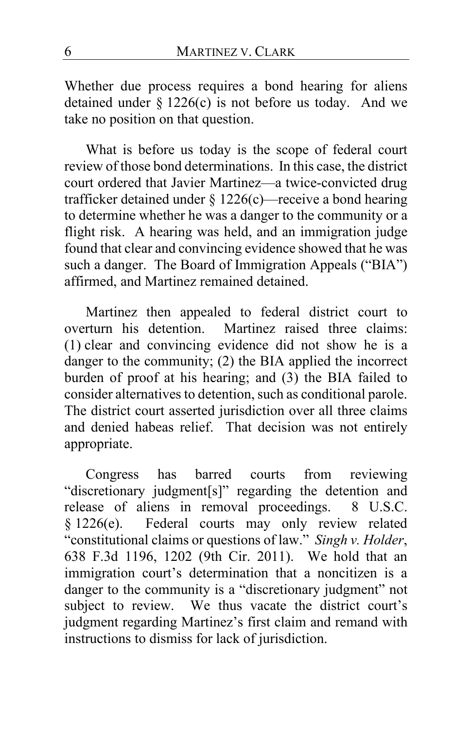Whether due process requires a bond hearing for aliens detained under  $\S 1226(c)$  is not before us today. And we take no position on that question.

What is before us today is the scope of federal court review of those bond determinations. In this case, the district court ordered that Javier Martinez—a twice-convicted drug trafficker detained under § 1226(c)—receive a bond hearing to determine whether he was a danger to the community or a flight risk. A hearing was held, and an immigration judge found that clear and convincing evidence showed that he was such a danger. The Board of Immigration Appeals ("BIA") affirmed, and Martinez remained detained.

Martinez then appealed to federal district court to overturn his detention. Martinez raised three claims: (1) clear and convincing evidence did not show he is a danger to the community; (2) the BIA applied the incorrect burden of proof at his hearing; and (3) the BIA failed to consider alternatives to detention, such as conditional parole. The district court asserted jurisdiction over all three claims and denied habeas relief. That decision was not entirely appropriate.

Congress has barred courts from reviewing "discretionary judgment[s]" regarding the detention and release of aliens in removal proceedings. 8 U.S.C. § 1226(e). Federal courts may only review related "constitutional claims or questions of law." *Singh v. Holder*, 638 F.3d 1196, 1202 (9th Cir. 2011). We hold that an immigration court's determination that a noncitizen is a danger to the community is a "discretionary judgment" not subject to review. We thus vacate the district court's judgment regarding Martinez's first claim and remand with instructions to dismiss for lack of jurisdiction.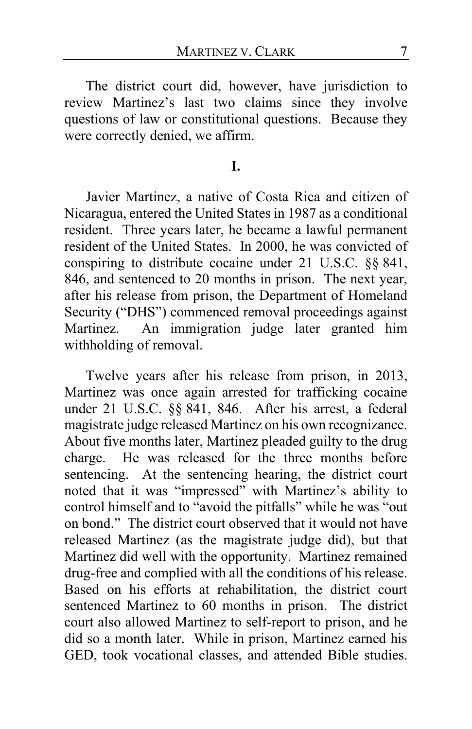The district court did, however, have jurisdiction to review Martinez's last two claims since they involve questions of law or constitutional questions. Because they were correctly denied, we affirm.

## **I.**

Javier Martinez, a native of Costa Rica and citizen of Nicaragua, entered the United States in 1987 as a conditional resident. Three years later, he became a lawful permanent resident of the United States. In 2000, he was convicted of conspiring to distribute cocaine under 21 U.S.C. §§ 841, 846, and sentenced to 20 months in prison. The next year, after his release from prison, the Department of Homeland Security ("DHS") commenced removal proceedings against Martinez. An immigration judge later granted him withholding of removal.

Twelve years after his release from prison, in 2013, Martinez was once again arrested for trafficking cocaine under 21 U.S.C. §§ 841, 846. After his arrest, a federal magistrate judge released Martinez on his own recognizance. About five months later, Martinez pleaded guilty to the drug charge. He was released for the three months before sentencing. At the sentencing hearing, the district court noted that it was "impressed" with Martinez's ability to control himself and to "avoid the pitfalls" while he was "out on bond." The district court observed that it would not have released Martinez (as the magistrate judge did), but that Martinez did well with the opportunity. Martinez remained drug-free and complied with all the conditions of his release. Based on his efforts at rehabilitation, the district court sentenced Martinez to 60 months in prison. The district court also allowed Martinez to self-report to prison, and he did so a month later. While in prison, Martinez earned his GED, took vocational classes, and attended Bible studies.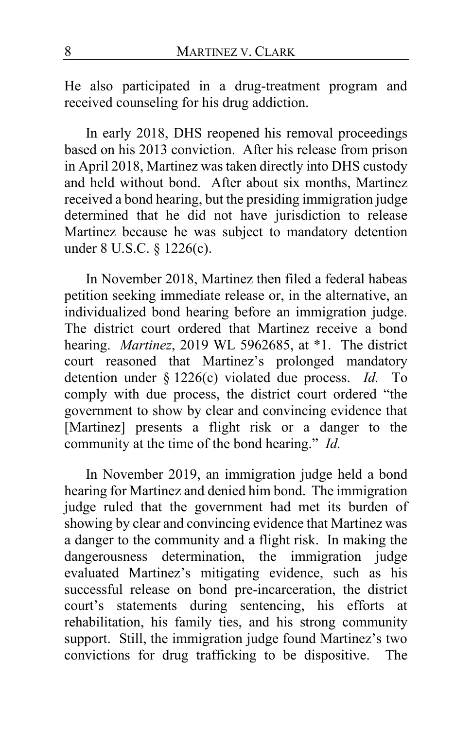He also participated in a drug-treatment program and received counseling for his drug addiction.

In early 2018, DHS reopened his removal proceedings based on his 2013 conviction. After his release from prison in April 2018, Martinez was taken directly into DHS custody and held without bond. After about six months, Martinez received a bond hearing, but the presiding immigration judge determined that he did not have jurisdiction to release Martinez because he was subject to mandatory detention under 8 U.S.C. § 1226(c).

In November 2018, Martinez then filed a federal habeas petition seeking immediate release or, in the alternative, an individualized bond hearing before an immigration judge. The district court ordered that Martinez receive a bond hearing. *Martinez*, 2019 WL 5962685, at \*1. The district court reasoned that Martinez's prolonged mandatory detention under § 1226(c) violated due process. *Id.* To comply with due process, the district court ordered "the government to show by clear and convincing evidence that [Martinez] presents a flight risk or a danger to the community at the time of the bond hearing." *Id.*

In November 2019, an immigration judge held a bond hearing for Martinez and denied him bond. The immigration judge ruled that the government had met its burden of showing by clear and convincing evidence that Martinez was a danger to the community and a flight risk. In making the dangerousness determination, the immigration judge evaluated Martinez's mitigating evidence, such as his successful release on bond pre-incarceration, the district court's statements during sentencing, his efforts at rehabilitation, his family ties, and his strong community support. Still, the immigration judge found Martinez's two convictions for drug trafficking to be dispositive. The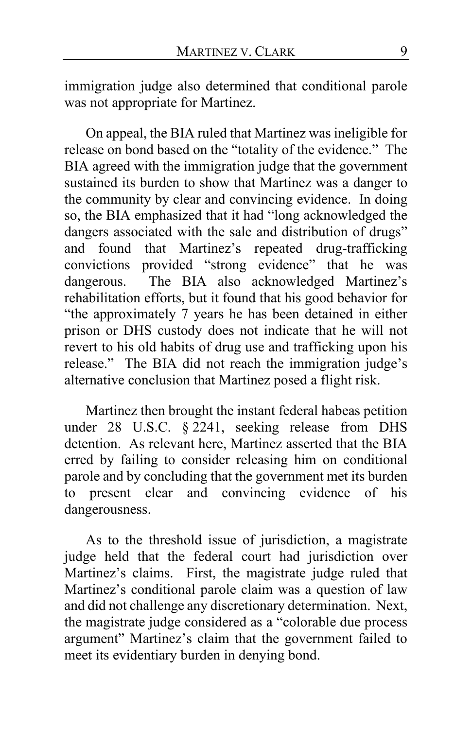immigration judge also determined that conditional parole was not appropriate for Martinez.

On appeal, the BIA ruled that Martinez was ineligible for release on bond based on the "totality of the evidence." The BIA agreed with the immigration judge that the government sustained its burden to show that Martinez was a danger to the community by clear and convincing evidence. In doing so, the BIA emphasized that it had "long acknowledged the dangers associated with the sale and distribution of drugs" and found that Martinez's repeated drug-trafficking convictions provided "strong evidence" that he was dangerous. The BIA also acknowledged Martinez's rehabilitation efforts, but it found that his good behavior for "the approximately 7 years he has been detained in either prison or DHS custody does not indicate that he will not revert to his old habits of drug use and trafficking upon his release." The BIA did not reach the immigration judge's alternative conclusion that Martinez posed a flight risk.

Martinez then brought the instant federal habeas petition under 28 U.S.C. § 2241, seeking release from DHS detention. As relevant here, Martinez asserted that the BIA erred by failing to consider releasing him on conditional parole and by concluding that the government met its burden to present clear and convincing evidence of his dangerousness.

As to the threshold issue of jurisdiction, a magistrate judge held that the federal court had jurisdiction over Martinez's claims. First, the magistrate judge ruled that Martinez's conditional parole claim was a question of law and did not challenge any discretionary determination. Next, the magistrate judge considered as a "colorable due process argument" Martinez's claim that the government failed to meet its evidentiary burden in denying bond.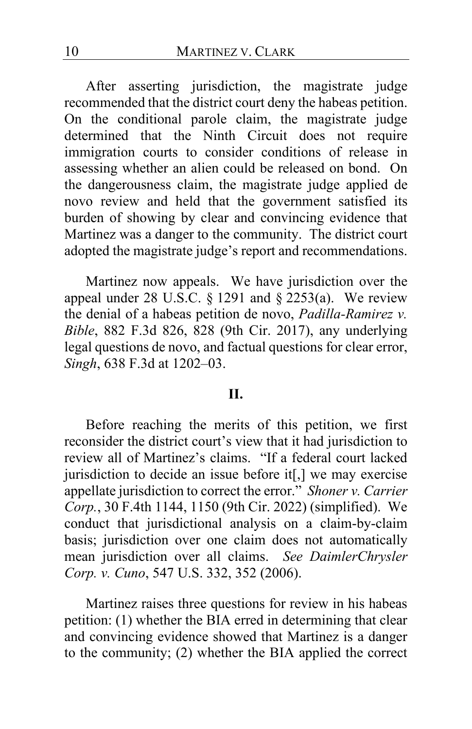After asserting jurisdiction, the magistrate judge recommended that the district court deny the habeas petition. On the conditional parole claim, the magistrate judge determined that the Ninth Circuit does not require immigration courts to consider conditions of release in assessing whether an alien could be released on bond. On the dangerousness claim, the magistrate judge applied de novo review and held that the government satisfied its burden of showing by clear and convincing evidence that Martinez was a danger to the community. The district court adopted the magistrate judge's report and recommendations.

Martinez now appeals. We have jurisdiction over the appeal under 28 U.S.C.  $\S$  1291 and  $\S$  2253(a). We review the denial of a habeas petition de novo, *Padilla-Ramirez v. Bible*, 882 F.3d 826, 828 (9th Cir. 2017), any underlying legal questions de novo, and factual questions for clear error, *Singh*, 638 F.3d at 1202–03.

#### **II.**

Before reaching the merits of this petition, we first reconsider the district court's view that it had jurisdiction to review all of Martinez's claims. "If a federal court lacked jurisdiction to decide an issue before it[,] we may exercise appellate jurisdiction to correct the error." *Shoner v. Carrier Corp.*, 30 F.4th 1144, 1150 (9th Cir. 2022) (simplified). We conduct that jurisdictional analysis on a claim-by-claim basis; jurisdiction over one claim does not automatically mean jurisdiction over all claims. *See DaimlerChrysler Corp. v. Cuno*, 547 U.S. 332, 352 (2006).

Martinez raises three questions for review in his habeas petition: (1) whether the BIA erred in determining that clear and convincing evidence showed that Martinez is a danger to the community; (2) whether the BIA applied the correct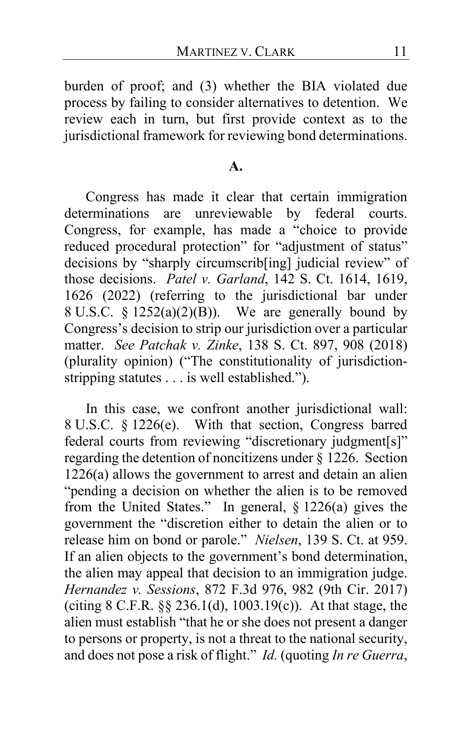burden of proof; and (3) whether the BIA violated due process by failing to consider alternatives to detention. We review each in turn, but first provide context as to the jurisdictional framework for reviewing bond determinations.

#### **A.**

Congress has made it clear that certain immigration determinations are unreviewable by federal courts. Congress, for example, has made a "choice to provide reduced procedural protection" for "adjustment of status" decisions by "sharply circumscrib[ing] judicial review" of those decisions. *Patel v. Garland*, 142 S. Ct. 1614, 1619, 1626 (2022) (referring to the jurisdictional bar under 8 U.S.C. § 1252(a)(2)(B)). We are generally bound by Congress's decision to strip our jurisdiction over a particular matter. *See Patchak v. Zinke*, 138 S. Ct. 897, 908 (2018) (plurality opinion) ("The constitutionality of jurisdictionstripping statutes . . . is well established.").

In this case, we confront another jurisdictional wall: 8 U.S.C. § 1226(e). With that section, Congress barred federal courts from reviewing "discretionary judgment[s]" regarding the detention of noncitizens under § 1226. Section 1226(a) allows the government to arrest and detain an alien "pending a decision on whether the alien is to be removed from the United States." In general, § 1226(a) gives the government the "discretion either to detain the alien or to release him on bond or parole." *Nielsen*, 139 S. Ct. at 959. If an alien objects to the government's bond determination, the alien may appeal that decision to an immigration judge. *Hernandez v. Sessions*, 872 F.3d 976, 982 (9th Cir. 2017) (citing 8 C.F.R. §§ 236.1(d), 1003.19(c)). At that stage, the alien must establish "that he or she does not present a danger to persons or property, is not a threat to the national security, and does not pose a risk of flight." *Id.* (quoting *In re Guerra*,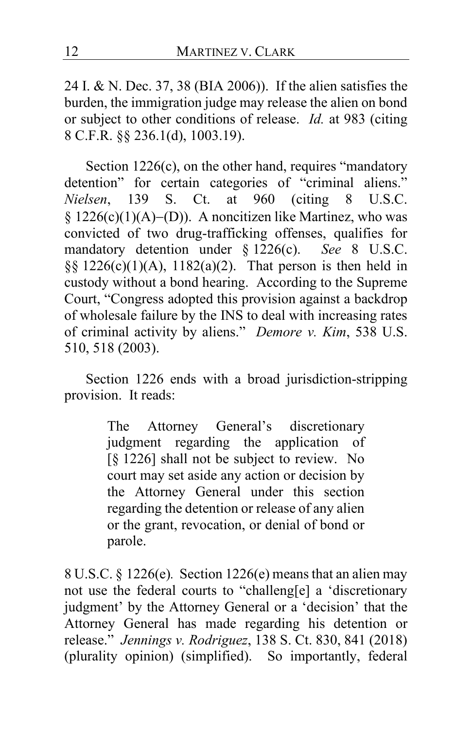24 I. & N. Dec. 37, 38 (BIA 2006)). If the alien satisfies the burden, the immigration judge may release the alien on bond or subject to other conditions of release. *Id.* at 983 (citing 8 C.F.R. §§ 236.1(d), 1003.19).

Section 1226(c), on the other hand, requires "mandatory detention" for certain categories of "criminal aliens." *Nielsen*, 139 S. Ct. at 960 (citing 8 U.S.C. § 1226(c)(1)(A)−(D)). A noncitizen like Martinez, who was convicted of two drug-trafficking offenses, qualifies for<br>mandatory detention under  $\delta$  1226(c). See 8 U.S.C. mandatory detention under  $\S$  1226(c). §§ 1226(c)(1)(A), 1182(a)(2). That person is then held in custody without a bond hearing. According to the Supreme Court, "Congress adopted this provision against a backdrop of wholesale failure by the INS to deal with increasing rates of criminal activity by aliens." *Demore v. Kim*, 538 U.S. 510, 518 (2003).

Section 1226 ends with a broad jurisdiction-stripping provision. It reads:

> The Attorney General's discretionary judgment regarding the application of [§ 1226] shall not be subject to review. No court may set aside any action or decision by the Attorney General under this section regarding the detention or release of any alien or the grant, revocation, or denial of bond or parole.

8 U.S.C. § 1226(e)*.* Section 1226(e) means that an alien may not use the federal courts to "challeng[e] a 'discretionary judgment' by the Attorney General or a 'decision' that the Attorney General has made regarding his detention or release." *Jennings v. Rodriguez*, 138 S. Ct. 830, 841 (2018) (plurality opinion) (simplified). So importantly, federal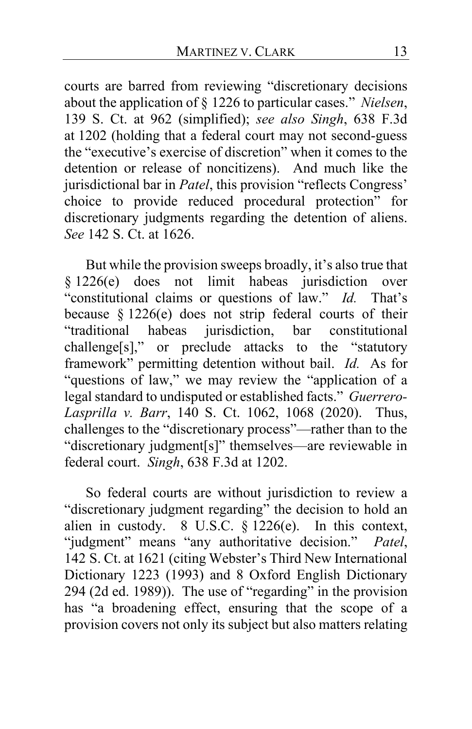courts are barred from reviewing "discretionary decisions about the application of § 1226 to particular cases." *Nielsen*, 139 S. Ct. at 962 (simplified); *see also Singh*, 638 F.3d at 1202 (holding that a federal court may not second-guess the "executive's exercise of discretion" when it comes to the detention or release of noncitizens). And much like the jurisdictional bar in *Patel*, this provision "reflects Congress' choice to provide reduced procedural protection" for discretionary judgments regarding the detention of aliens. *See* 142 S. Ct. at 1626.

But while the provision sweeps broadly, it's also true that § 1226(e) does not limit habeas jurisdiction over "constitutional claims or questions of law." *Id.* That's because § 1226(e) does not strip federal courts of their "traditional habeas jurisdiction, bar constitutional challenge[s]," or preclude attacks to the "statutory framework" permitting detention without bail. *Id.* As for "questions of law," we may review the "application of a legal standard to undisputed or established facts." *Guerrero-Lasprilla v. Barr*, 140 S. Ct. 1062, 1068 (2020). Thus, challenges to the "discretionary process"—rather than to the "discretionary judgment[s]" themselves—are reviewable in federal court. *Singh*, 638 F.3d at 1202.

So federal courts are without jurisdiction to review a "discretionary judgment regarding" the decision to hold an alien in custody. 8 U.S.C. § 1226(e). In this context, "judgment" means "any authoritative decision." *Patel*, 142 S. Ct. at 1621 (citing Webster's Third New International Dictionary 1223 (1993) and 8 Oxford English Dictionary 294 (2d ed. 1989)). The use of "regarding" in the provision has "a broadening effect, ensuring that the scope of a provision covers not only its subject but also matters relating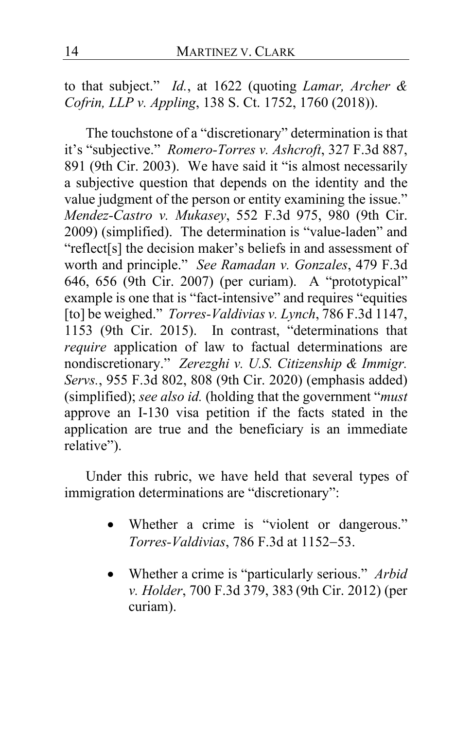to that subject." *Id.*, at 1622 (quoting *Lamar, Archer & Cofrin, LLP v. Appling*, 138 S. Ct. 1752, 1760 (2018)).

The touchstone of a "discretionary" determination is that it's "subjective." *Romero-Torres v. Ashcroft*, 327 F.3d 887, 891 (9th Cir. 2003). We have said it "is almost necessarily a subjective question that depends on the identity and the value judgment of the person or entity examining the issue." *Mendez-Castro v. Mukasey*, 552 F.3d 975, 980 (9th Cir. 2009) (simplified). The determination is "value-laden" and "reflect[s] the decision maker's beliefs in and assessment of worth and principle." *See Ramadan v. Gonzales*, 479 F.3d 646, 656 (9th Cir. 2007) (per curiam). A "prototypical" example is one that is "fact-intensive" and requires "equities [to] be weighed." *Torres-Valdivias v. Lynch*, 786 F.3d 1147, 1153 (9th Cir. 2015). In contrast, "determinations that *require* application of law to factual determinations are nondiscretionary." *Zerezghi v. U.S. Citizenship & Immigr. Servs.*, 955 F.3d 802, 808 (9th Cir. 2020) (emphasis added) (simplified); *see also id.* (holding that the government "*must* approve an I-130 visa petition if the facts stated in the application are true and the beneficiary is an immediate relative").

Under this rubric, we have held that several types of immigration determinations are "discretionary":

- Whether a crime is "violent or dangerous." *Torres-Valdivias*, 786 F.3d at 1152−53.
- Whether a crime is "particularly serious." *Arbid v. Holder*, 700 F.3d 379, 383 (9th Cir. 2012) (per curiam).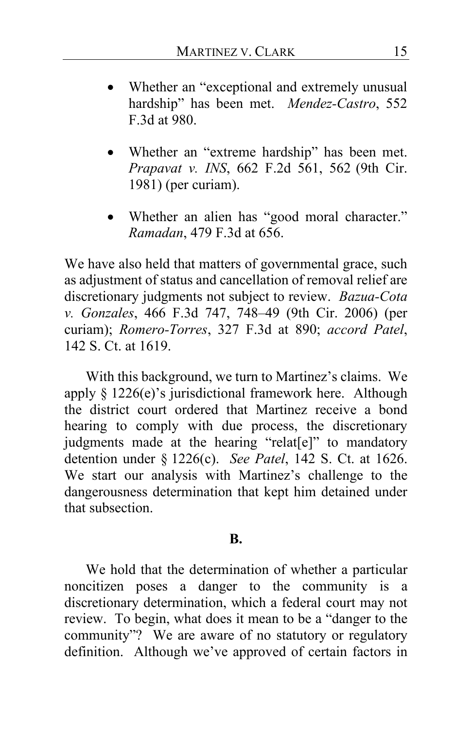- Whether an "exceptional and extremely unusual hardship" has been met. *Mendez-Castro*, 552 F.3d at 980.
- Whether an "extreme hardship" has been met. *Prapavat v. INS*, 662 F.2d 561, 562 (9th Cir. 1981) (per curiam).
- Whether an alien has "good moral character." *Ramadan*, 479 F.3d at 656.

We have also held that matters of governmental grace, such as adjustment of status and cancellation of removal relief are discretionary judgments not subject to review. *Bazua-Cota v. Gonzales*, 466 F.3d 747, 748–49 (9th Cir. 2006) (per curiam); *Romero-Torres*, 327 F.3d at 890; *accord Patel*, 142 S. Ct. at 1619.

With this background, we turn to Martinez's claims. We apply § 1226(e)'s jurisdictional framework here. Although the district court ordered that Martinez receive a bond hearing to comply with due process, the discretionary judgments made at the hearing "relat[e]" to mandatory detention under § 1226(c). *See Patel*, 142 S. Ct. at 1626. We start our analysis with Martinez's challenge to the dangerousness determination that kept him detained under that subsection.

#### **B.**

We hold that the determination of whether a particular noncitizen poses a danger to the community is a discretionary determination, which a federal court may not review. To begin, what does it mean to be a "danger to the community"? We are aware of no statutory or regulatory definition. Although we've approved of certain factors in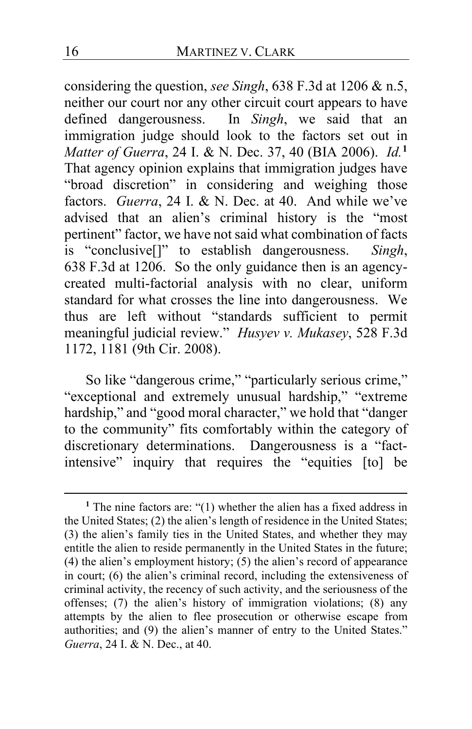considering the question, *see Singh*, 638 F.3d at 1206 & n.5, neither our court nor any other circuit court appears to have defined dangerousness. In *Singh*, we said that an immigration judge should look to the factors set out in *Matter of Guerra*, 24 I. & N. Dec. 37, 40 (BIA 2006). *Id.***[1](#page-15-0)** That agency opinion explains that immigration judges have "broad discretion" in considering and weighing those factors. *Guerra*, 24 I. & N. Dec. at 40. And while we've advised that an alien's criminal history is the "most pertinent" factor, we have not said what combination of facts is "conclusive[]" to establish dangerousness. *Singh*, 638 F.3d at 1206. So the only guidance then is an agencycreated multi-factorial analysis with no clear, uniform standard for what crosses the line into dangerousness. We thus are left without "standards sufficient to permit meaningful judicial review." *Husyev v. Mukasey*, 528 F.3d 1172, 1181 (9th Cir. 2008).

So like "dangerous crime," "particularly serious crime," "exceptional and extremely unusual hardship," "extreme hardship," and "good moral character," we hold that "danger to the community" fits comfortably within the category of discretionary determinations. Dangerousness is a "factintensive" inquiry that requires the "equities [to] be

<span id="page-15-0"></span>**<sup>1</sup>** The nine factors are: "(1) whether the alien has a fixed address in the United States; (2) the alien's length of residence in the United States; (3) the alien's family ties in the United States, and whether they may entitle the alien to reside permanently in the United States in the future; (4) the alien's employment history; (5) the alien's record of appearance in court; (6) the alien's criminal record, including the extensiveness of criminal activity, the recency of such activity, and the seriousness of the offenses; (7) the alien's history of immigration violations; (8) any attempts by the alien to flee prosecution or otherwise escape from authorities; and (9) the alien's manner of entry to the United States." *Guerra*, 24 I. & N. Dec., at 40.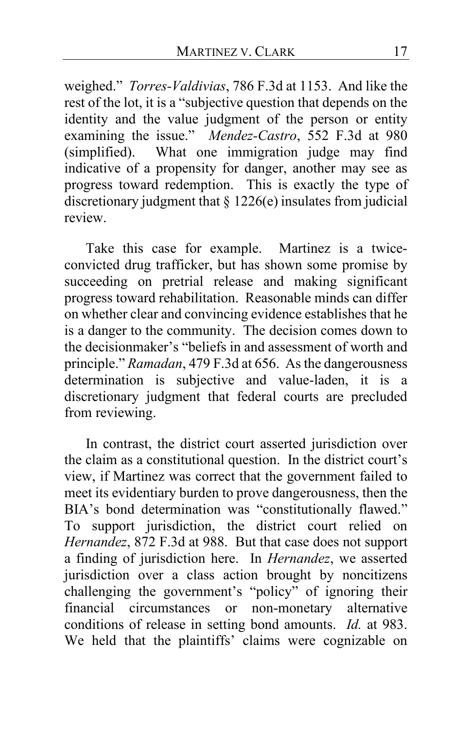weighed." *Torres-Valdivias*, 786 F.3d at 1153. And like the rest of the lot, it is a "subjective question that depends on the identity and the value judgment of the person or entity examining the issue." *Mendez-Castro*, 552 F.3d at 980 (simplified). What one immigration judge may find indicative of a propensity for danger, another may see as progress toward redemption. This is exactly the type of discretionary judgment that  $\S 1226(e)$  insulates from judicial review.

Take this case for example. Martinez is a twiceconvicted drug trafficker, but has shown some promise by succeeding on pretrial release and making significant progress toward rehabilitation. Reasonable minds can differ on whether clear and convincing evidence establishes that he is a danger to the community. The decision comes down to the decisionmaker's "beliefs in and assessment of worth and principle." *Ramadan*, 479 F.3d at 656. As the dangerousness determination is subjective and value-laden, it is a discretionary judgment that federal courts are precluded from reviewing.

In contrast, the district court asserted jurisdiction over the claim as a constitutional question. In the district court's view, if Martinez was correct that the government failed to meet its evidentiary burden to prove dangerousness, then the BIA's bond determination was "constitutionally flawed." To support jurisdiction, the district court relied on *Hernandez*, 872 F.3d at 988. But that case does not support a finding of jurisdiction here. In *Hernandez*, we asserted jurisdiction over a class action brought by noncitizens challenging the government's "policy" of ignoring their financial circumstances or non-monetary alternative conditions of release in setting bond amounts. *Id.* at 983. We held that the plaintiffs' claims were cognizable on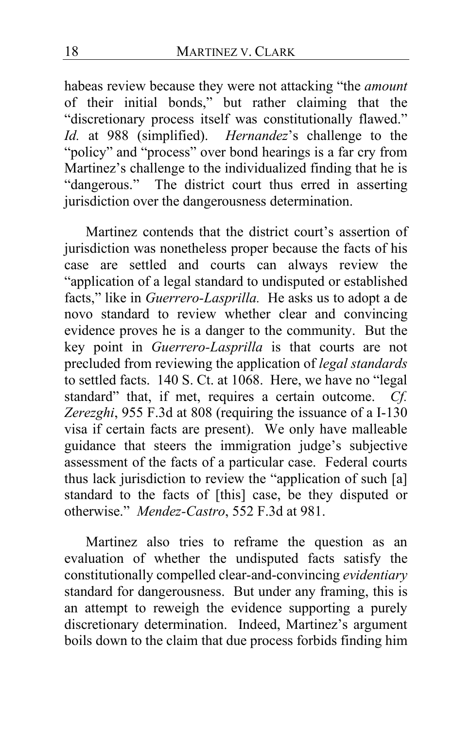habeas review because they were not attacking "the *amount* of their initial bonds," but rather claiming that the "discretionary process itself was constitutionally flawed." *Id.* at 988 (simplified). *Hernandez*'s challenge to the "policy" and "process" over bond hearings is a far cry from Martinez's challenge to the individualized finding that he is "dangerous." The district court thus erred in asserting jurisdiction over the dangerousness determination.

Martinez contends that the district court's assertion of jurisdiction was nonetheless proper because the facts of his case are settled and courts can always review the "application of a legal standard to undisputed or established facts," like in *Guerrero-Lasprilla.* He asks us to adopt a de novo standard to review whether clear and convincing evidence proves he is a danger to the community. But the key point in *Guerrero-Lasprilla* is that courts are not precluded from reviewing the application of *legal standards* to settled facts. 140 S. Ct. at 1068. Here, we have no "legal standard" that, if met, requires a certain outcome. *Cf. Zerezghi*, 955 F.3d at 808 (requiring the issuance of a I-130 visa if certain facts are present). We only have malleable guidance that steers the immigration judge's subjective assessment of the facts of a particular case. Federal courts thus lack jurisdiction to review the "application of such [a] standard to the facts of [this] case, be they disputed or otherwise." *Mendez-Castro*, 552 F.3d at 981.

Martinez also tries to reframe the question as an evaluation of whether the undisputed facts satisfy the constitutionally compelled clear-and-convincing *evidentiary*  standard for dangerousness. But under any framing, this is an attempt to reweigh the evidence supporting a purely discretionary determination. Indeed, Martinez's argument boils down to the claim that due process forbids finding him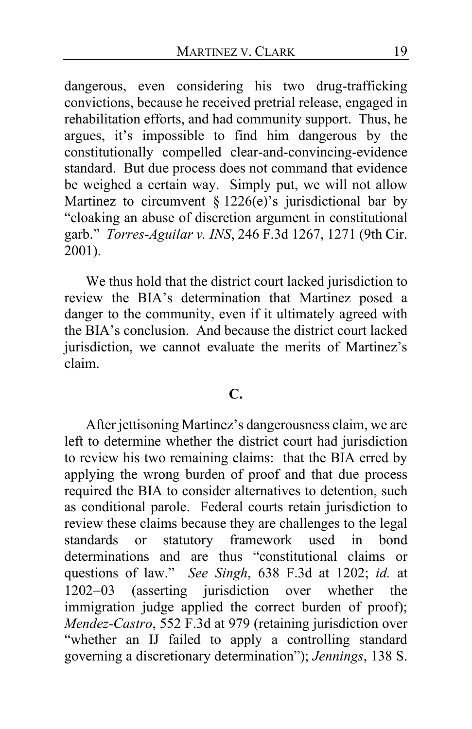dangerous, even considering his two drug-trafficking convictions, because he received pretrial release, engaged in rehabilitation efforts, and had community support. Thus, he argues, it's impossible to find him dangerous by the constitutionally compelled clear-and-convincing-evidence standard. But due process does not command that evidence be weighed a certain way. Simply put, we will not allow Martinez to circumvent  $\frac{1}{2}$  1226(e)'s jurisdictional bar by "cloaking an abuse of discretion argument in constitutional garb." *Torres-Aguilar v. INS*, 246 F.3d 1267, 1271 (9th Cir. 2001).

We thus hold that the district court lacked jurisdiction to review the BIA's determination that Martinez posed a danger to the community, even if it ultimately agreed with the BIA's conclusion. And because the district court lacked jurisdiction, we cannot evaluate the merits of Martinez's claim.

## **C.**

After jettisoning Martinez's dangerousness claim, we are left to determine whether the district court had jurisdiction to review his two remaining claims: that the BIA erred by applying the wrong burden of proof and that due process required the BIA to consider alternatives to detention, such as conditional parole. Federal courts retain jurisdiction to review these claims because they are challenges to the legal standards or statutory framework used in bond determinations and are thus "constitutional claims or questions of law." *See Singh*, 638 F.3d at 1202; *id.* at 1202−03 (asserting jurisdiction over whether the immigration judge applied the correct burden of proof); *Mendez-Castro*, 552 F.3d at 979 (retaining jurisdiction over "whether an IJ failed to apply a controlling standard governing a discretionary determination"); *Jennings*, 138 S.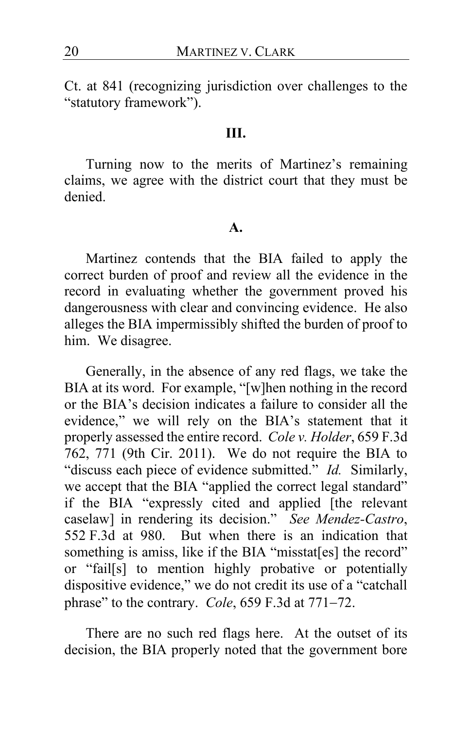Ct. at 841 (recognizing jurisdiction over challenges to the "statutory framework").

## **III.**

Turning now to the merits of Martinez's remaining claims, we agree with the district court that they must be denied.

#### **A.**

Martinez contends that the BIA failed to apply the correct burden of proof and review all the evidence in the record in evaluating whether the government proved his dangerousness with clear and convincing evidence. He also alleges the BIA impermissibly shifted the burden of proof to him. We disagree.

Generally, in the absence of any red flags, we take the BIA at its word. For example, "[w]hen nothing in the record or the BIA's decision indicates a failure to consider all the evidence," we will rely on the BIA's statement that it properly assessed the entire record. *Cole v. Holder*, 659 F.3d 762, 771 (9th Cir. 2011). We do not require the BIA to "discuss each piece of evidence submitted." *Id.* Similarly, we accept that the BIA "applied the correct legal standard" if the BIA "expressly cited and applied [the relevant caselaw] in rendering its decision." *See Mendez-Castro*, 552 F.3d at 980.But when there is an indication that something is amiss, like if the BIA "misstat[es] the record" or "fail[s] to mention highly probative or potentially dispositive evidence," we do not credit its use of a "catchall phrase" to the contrary. *Cole*, 659 F.3d at 771−72.

There are no such red flags here. At the outset of its decision, the BIA properly noted that the government bore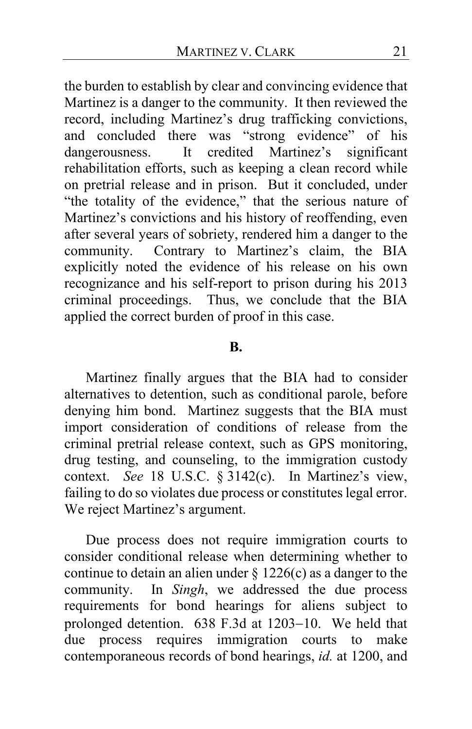the burden to establish by clear and convincing evidence that Martinez is a danger to the community. It then reviewed the record, including Martinez's drug trafficking convictions, and concluded there was "strong evidence" of his dangerousness. It credited Martinez's significant rehabilitation efforts, such as keeping a clean record while on pretrial release and in prison. But it concluded, under "the totality of the evidence," that the serious nature of Martinez's convictions and his history of reoffending, even after several years of sobriety, rendered him a danger to the community. Contrary to Martinez's claim, the BIA explicitly noted the evidence of his release on his own recognizance and his self-report to prison during his 2013 criminal proceedings. Thus, we conclude that the BIA applied the correct burden of proof in this case.

#### **B.**

Martinez finally argues that the BIA had to consider alternatives to detention, such as conditional parole, before denying him bond. Martinez suggests that the BIA must import consideration of conditions of release from the criminal pretrial release context, such as GPS monitoring, drug testing, and counseling, to the immigration custody context. *See* 18 U.S.C. § 3142(c). In Martinez's view, failing to do so violates due process or constitutes legal error. We reject Martinez's argument.

Due process does not require immigration courts to consider conditional release when determining whether to continue to detain an alien under  $\S 1226(c)$  as a danger to the community. In *Singh*, we addressed the due process requirements for bond hearings for aliens subject to prolonged detention. 638 F.3d at 1203−10. We held that due process requires immigration courts to make contemporaneous records of bond hearings, *id.* at 1200, and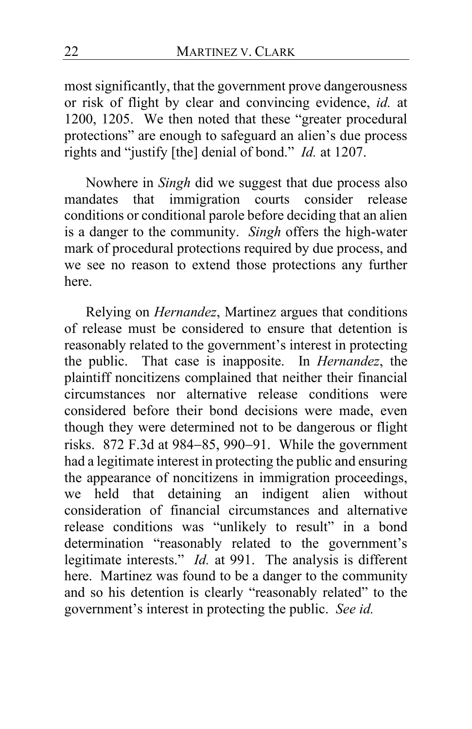most significantly, that the government prove dangerousness or risk of flight by clear and convincing evidence, *id.* at 1200, 1205. We then noted that these "greater procedural protections" are enough to safeguard an alien's due process rights and "justify [the] denial of bond." *Id.* at 1207.

Nowhere in *Singh* did we suggest that due process also mandates that immigration courts consider release conditions or conditional parole before deciding that an alien is a danger to the community. *Singh* offers the high-water mark of procedural protections required by due process, and we see no reason to extend those protections any further here.

Relying on *Hernandez*, Martinez argues that conditions of release must be considered to ensure that detention is reasonably related to the government's interest in protecting the public. That case is inapposite. In *Hernandez*, the plaintiff noncitizens complained that neither their financial circumstances nor alternative release conditions were considered before their bond decisions were made, even though they were determined not to be dangerous or flight risks. 872 F.3d at 984−85, 990−91. While the government had a legitimate interest in protecting the public and ensuring the appearance of noncitizens in immigration proceedings, we held that detaining an indigent alien without consideration of financial circumstances and alternative release conditions was "unlikely to result" in a bond determination "reasonably related to the government's legitimate interests." *Id.* at 991. The analysis is different here. Martinez was found to be a danger to the community and so his detention is clearly "reasonably related" to the government's interest in protecting the public. *See id.*